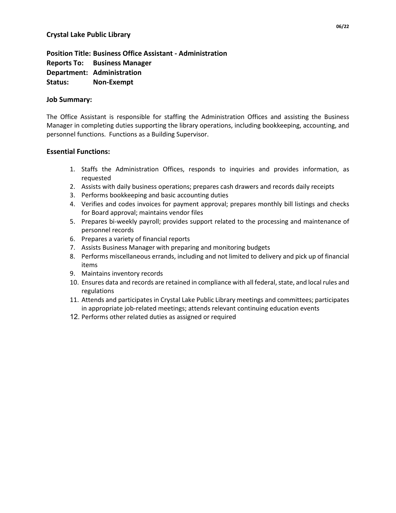**Position Title: Business Office Assistant - Administration Reports To: Business Manager Department: Administration Status: Non-Exempt**

### **Job Summary:**

The Office Assistant is responsible for staffing the Administration Offices and assisting the Business Manager in completing duties supporting the library operations, including bookkeeping, accounting, and personnel functions. Functions as a Building Supervisor.

# **Essential Functions:**

- 1. Staffs the Administration Offices, responds to inquiries and provides information, as requested
- 2. Assists with daily business operations; prepares cash drawers and records daily receipts
- 3. Performs bookkeeping and basic accounting duties
- 4. Verifies and codes invoices for payment approval; prepares monthly bill listings and checks for Board approval; maintains vendor files
- 5. Prepares bi-weekly payroll; provides support related to the processing and maintenance of personnel records
- 6. Prepares a variety of financial reports
- 7. Assists Business Manager with preparing and monitoring budgets
- 8. Performs miscellaneous errands, including and not limited to delivery and pick up of financial items
- 9. Maintains inventory records
- 10. Ensures data and records are retained in compliance with all federal, state, and local rules and regulations
- 11. Attends and participates in Crystal Lake Public Library meetings and committees; participates in appropriate job-related meetings; attends relevant continuing education events
- 12. Performs other related duties as assigned or required